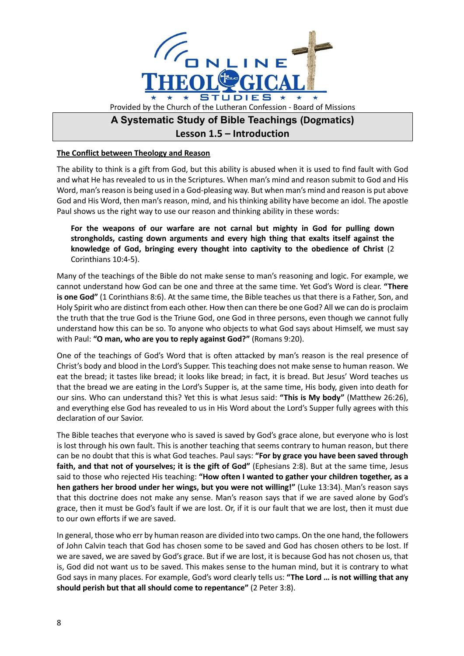

## **The Conflict between Theology and Reason**

The ability to think is a gift from God, but this ability is abused when it is used to find fault with God and what He has revealed to us in the Scriptures. When man's mind and reason submit to God and His Word, man's reason is being used in a God-pleasing way. But when man's mind and reason is put above God and His Word, then man's reason, mind, and his thinking ability have become an idol. The apostle Paul shows us the right way to use our reason and thinking ability in these words:

**For the weapons of our warfare are not carnal but mighty in God for pulling down strongholds, casting down arguments and every high thing that exalts itself against the knowledge of God, bringing every thought into captivity to the obedience of Christ** (2 Corinthians 10:4-5).

Many of the teachings of the Bible do not make sense to man's reasoning and logic. For example, we cannot understand how God can be one and three at the same time. Yet God's Word is clear. **"There is one God"** (1 Corinthians 8:6). At the same time, the Bible teaches us that there is a Father, Son, and Holy Spirit who are distinct from each other. How then can there be one God? All we can do is proclaim the truth that the true God is the Triune God, one God in three persons, even though we cannot fully understand how this can be so. To anyone who objects to what God says about Himself, we must say with Paul: **"O man, who are you to reply against God?"** (Romans 9:20).

One of the teachings of God's Word that is often attacked by man's reason is the real presence of Christ's body and blood in the Lord's Supper. This teaching does not make sense to human reason. We eat the bread; it tastes like bread; it looks like bread; in fact, it is bread. But Jesus' Word teaches us that the bread we are eating in the Lord's Supper is, at the same time, His body, given into death for our sins. Who can understand this? Yet this is what Jesus said: **"This is My body"** (Matthew 26:26), and everything else God has revealed to us in His Word about the Lord's Supper fully agrees with this declaration of our Savior.

The Bible teaches that everyone who is saved is saved by God's grace alone, but everyone who is lost is lost through his own fault. This is another teaching that seems contrary to human reason, but there can be no doubt that this is what God teaches. Paul says: **"For by grace you have been saved through faith, and that not of yourselves; it is the gift of God"** (Ephesians 2:8). But at the same time, Jesus said to those who rejected His teaching: **"How often I wanted to gather your children together, as a hen gathers her brood under her wings, but you were not willing!"** (Luke 13:34). Man's reason says that this doctrine does not make any sense. Man's reason says that if we are saved alone by God's grace, then it must be God's fault if we are lost. Or, if it is our fault that we are lost, then it must due to our own efforts if we are saved.

In general, those who err by human reason are divided into two camps. On the one hand, the followers of John Calvin teach that God has chosen some to be saved and God has chosen others to be lost. If we are saved, we are saved by God's grace. But if we are lost, it is because God has not chosen us, that is, God did not want us to be saved. This makes sense to the human mind, but it is contrary to what God says in many places. For example, God's word clearly tells us: **"The Lord … is not willing that any should perish but that all should come to repentance"** (2 Peter 3:8).